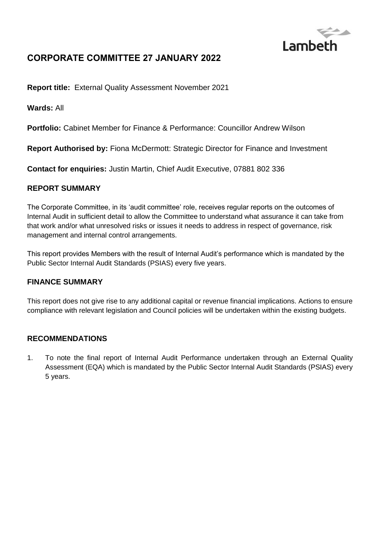

# **CORPORATE COMMITTEE 27 JANUARY 2022**

**Report title:** External Quality Assessment November 2021

**Wards:** All

**Portfolio:** Cabinet Member for Finance & Performance: Councillor Andrew Wilson

**Report Authorised by:** Fiona McDermott: Strategic Director for Finance and Investment

**Contact for enquiries:** Justin Martin, Chief Audit Executive, 07881 802 336

## **REPORT SUMMARY**

The Corporate Committee, in its 'audit committee' role, receives regular reports on the outcomes of Internal Audit in sufficient detail to allow the Committee to understand what assurance it can take from that work and/or what unresolved risks or issues it needs to address in respect of governance, risk management and internal control arrangements.

This report provides Members with the result of Internal Audit's performance which is mandated by the Public Sector Internal Audit Standards (PSIAS) every five years.

## **FINANCE SUMMARY**

This report does not give rise to any additional capital or revenue financial implications. Actions to ensure compliance with relevant legislation and Council policies will be undertaken within the existing budgets.

## **RECOMMENDATIONS**

1. To note the final report of Internal Audit Performance undertaken through an External Quality Assessment (EQA) which is mandated by the Public Sector Internal Audit Standards (PSIAS) every 5 years.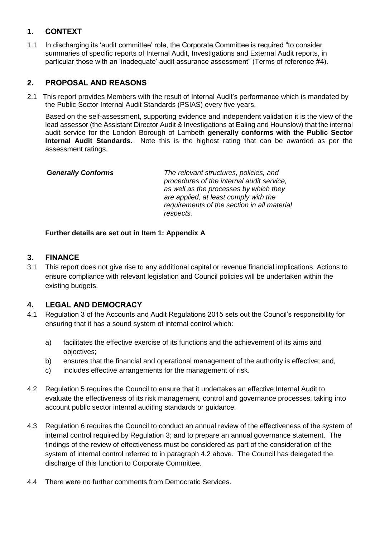## **1. CONTEXT**

1.1 In discharging its 'audit committee' role, the Corporate Committee is required "to consider summaries of specific reports of Internal Audit, Investigations and External Audit reports, in particular those with an 'inadequate' audit assurance assessment" (Terms of reference #4).

## **2. PROPOSAL AND REASONS**

2.1 This report provides Members with the result of Internal Audit's performance which is mandated by the Public Sector Internal Audit Standards (PSIAS) every five years.

Based on the self-assessment, supporting evidence and independent validation it is the view of the lead assessor (the Assistant Director Audit & Investigations at Ealing and Hounslow) that the internal audit service for the London Borough of Lambeth **generally conforms with the Public Sector Internal Audit Standards.** Note this is the highest rating that can be awarded as per the assessment ratings.

 *Generally Conforms The relevant structures, policies, and procedures of the internal audit service, as well as the processes by which they are applied, at least comply with the requirements of the section in all material respects.* 

#### **Further details are set out in Item 1: Appendix A**

## **3. FINANCE**

3.1 This report does not give rise to any additional capital or revenue financial implications. Actions to ensure compliance with relevant legislation and Council policies will be undertaken within the existing budgets.

## **4. LEGAL AND DEMOCRACY**

- 4.1 Regulation 3 of the Accounts and Audit Regulations 2015 sets out the Council's responsibility for ensuring that it has a sound system of internal control which:
	- a) facilitates the effective exercise of its functions and the achievement of its aims and objectives;
	- b) ensures that the financial and operational management of the authority is effective; and,
	- c) includes effective arrangements for the management of risk.
- 4.2 Regulation 5 requires the Council to ensure that it undertakes an effective Internal Audit to evaluate the effectiveness of its risk management, control and governance processes, taking into account public sector internal auditing standards or guidance.
- 4.3 Regulation 6 requires the Council to conduct an annual review of the effectiveness of the system of internal control required by Regulation 3; and to prepare an annual governance statement. The findings of the review of effectiveness must be considered as part of the consideration of the system of internal control referred to in paragraph 4.2 above. The Council has delegated the discharge of this function to Corporate Committee.
- 4.4 There were no further comments from Democratic Services.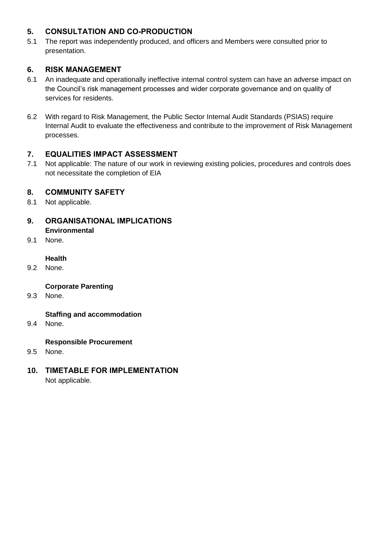## **5. CONSULTATION AND CO-PRODUCTION**

5.1 The report was independently produced, and officers and Members were consulted prior to presentation.

## **6. RISK MANAGEMENT**

- 6.1 An inadequate and operationally ineffective internal control system can have an adverse impact on the Council's risk management processes and wider corporate governance and on quality of services for residents.
- 6.2 With regard to Risk Management, the Public Sector Internal Audit Standards (PSIAS) require Internal Audit to evaluate the effectiveness and contribute to the improvement of Risk Management processes.

## **7. EQUALITIES IMPACT ASSESSMENT**

7.1 Not applicable: The nature of our work in reviewing existing policies, procedures and controls does not necessitate the completion of EIA

## **8. COMMUNITY SAFETY**

- 8.1 Not applicable.
- **9. ORGANISATIONAL IMPLICATIONS Environmental**
- 9.1 None.

#### **Health**

9.2 None.

## **Corporate Parenting**

9.3 None.

## **Staffing and accommodation**

9.4 None.

## **Responsible Procurement**

- 9.5 None.
- **10. TIMETABLE FOR IMPLEMENTATION** Not applicable.